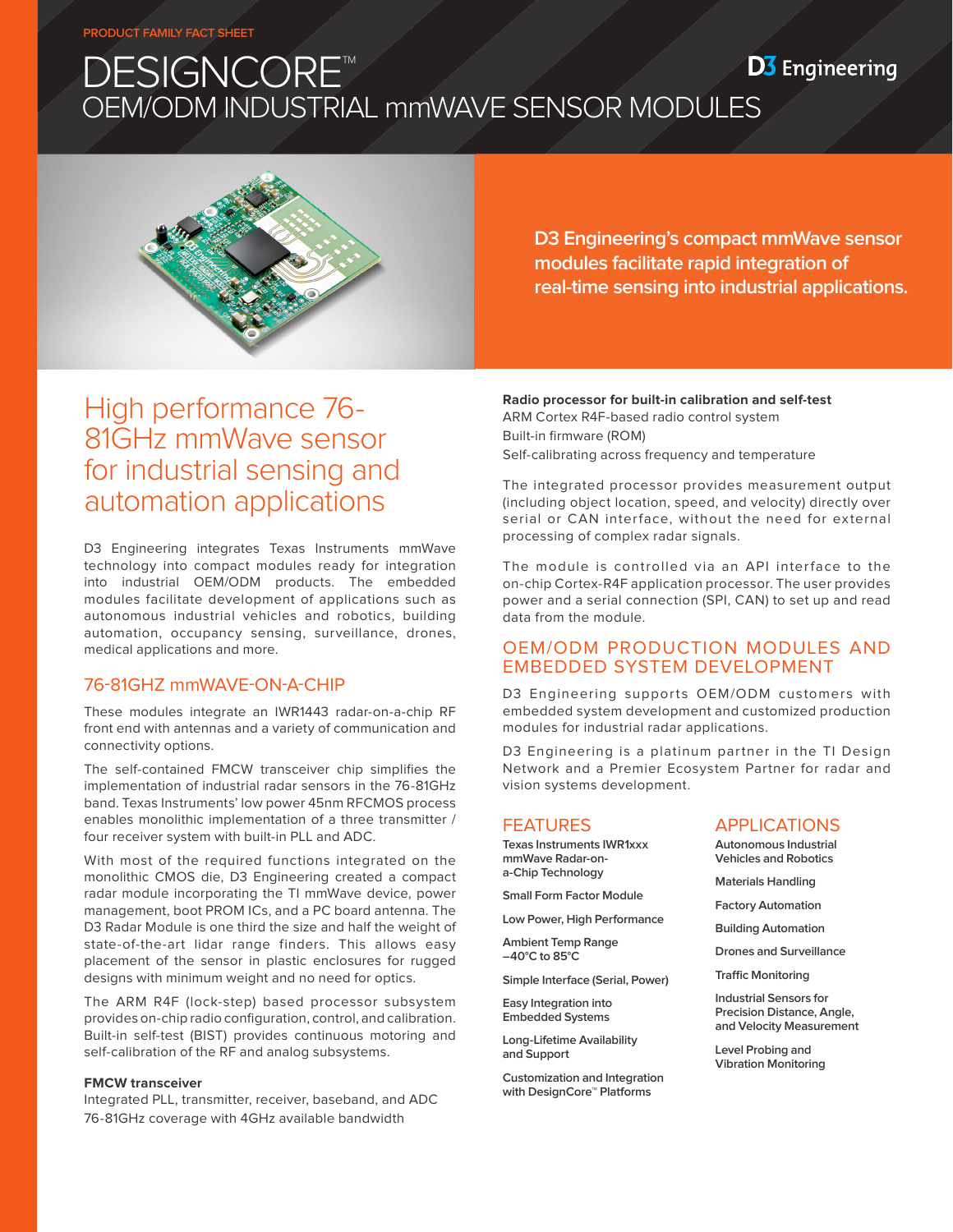**PRODUCT FAMILY FACT SHEET** 

# DESIGNCORE<sup>®</sup> OEM/ODM INDUSTRIAL mmWAVE SENSOR MODULES



**D3 Engineering's compact mmWave sensor modules facilitate rapid integration of real-time sensing into industrial applications.**

# High performance 76- 81GHz mmWave sensor for industrial sensing and automation applications

D3 Engineering integrates Texas Instruments mmWave technology into compact modules ready for integration into industrial OEM/ODM products. The embedded modules facilitate development of applications such as autonomous industrial vehicles and robotics, building automation, occupancy sensing, surveillance, drones, medical applications and more.

# 76-81GHZ mmWAVE-ON-A-CHIP

These modules integrate an IWR1443 radar-on-a-chip RF front end with antennas and a variety of communication and connectivity options.

The self-contained FMCW transceiver chip simplifies the implementation of industrial radar sensors in the 76-81GHz band. Texas Instruments' low power 45nm RFCMOS process enables monolithic implementation of a three transmitter / four receiver system with built-in PLL and ADC.

With most of the required functions integrated on the monolithic CMOS die, D3 Engineering created a compact radar module incorporating the TI mmWave device, power management, boot PROM ICs, and a PC board antenna. The D3 Radar Module is one third the size and half the weight of state-of-the-art lidar range finders. This allows easy placement of the sensor in plastic enclosures for rugged designs with minimum weight and no need for optics.

The ARM R4F (lock-step) based processor subsystem provides on-chip radio configuration, control, and calibration. Built-in self-test (BIST) provides continuous motoring and self-calibration of the RF and analog subsystems.

### **FMCW transceiver**

Integrated PLL, transmitter, receiver, baseband, and ADC 76-81GHz coverage with 4GHz available bandwidth

**Radio processor for built-in calibration and self-test** ARM Cortex R4F-based radio control system Built-in firmware (ROM) Self-calibrating across frequency and temperature

The integrated processor provides measurement output (including object location, speed, and velocity) directly over serial or CAN interface, without the need for external processing of complex radar signals.

The module is controlled via an API interface to the on-chip Cortex-R4F application processor. The user provides power and a serial connection (SPI, CAN) to set up and read data from the module.

### OEM/ODM PRODUCTION MODULES AND EMBEDDED SYSTEM DEVELOPMENT

D3 Engineering supports OEM/ODM customers with embedded system development and customized production modules for industrial radar applications.

D3 Engineering is a platinum partner in the TI Design Network and a Premier Ecosystem Partner for radar and vision systems development.

# FEATURES

**Texas Instruments IWR1xxx mmWave Radar-ona-Chip Technology**

**Small Form Factor Module**

**Low Power, High Performance**

**Ambient Temp Range –40°C to 85°C**

**Simple Interface (Serial, Power)**

**Easy Integration into Embedded Systems**

**Long-Lifetime Availability and Support**

**Customization and Integration with DesignCore™ Platforms**

## APPLICATIONS

**Autonomous Industrial Vehicles and Robotics**

**Materials Handling**

**Factory Automation**

**Building Automation**

**Drones and Surveillance**

**Traffic Monitoring** 

**Industrial Sensors for Precision Distance, Angle, and Velocity Measurement**

**Level Probing and Vibration Monitoring**

# **D3** Engineering